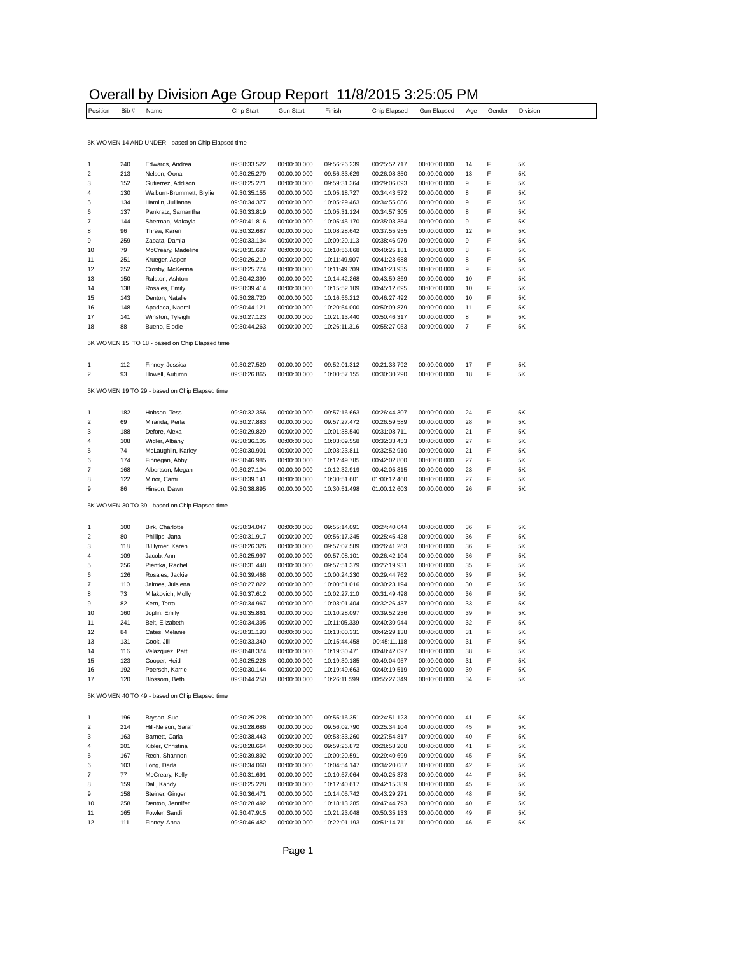## Overall by Division Age Group Report 11/8/2015 3:25:05 PM

 $\overline{\phantom{a}}$ 

| Position                   | Bib#       | Name                                               | Chip Start                   | <b>Gun Start</b>             | Finish                       | Chip Elapsed                 | Gun Elapsed                  | Age            | Gender | Division      |
|----------------------------|------------|----------------------------------------------------|------------------------------|------------------------------|------------------------------|------------------------------|------------------------------|----------------|--------|---------------|
|                            |            |                                                    |                              |                              |                              |                              |                              |                |        |               |
|                            |            | 5K WOMEN 14 AND UNDER - based on Chip Elapsed time |                              |                              |                              |                              |                              |                |        |               |
|                            |            |                                                    |                              |                              |                              |                              |                              |                |        |               |
| $\mathbf{1}$               | 240        | Edwards, Andrea                                    | 09:30:33.522                 | 00:00:00.000                 | 09:56:26.239                 | 00:25:52.717                 | 00:00:00.000                 | 14             | F      | 5K            |
| $\overline{\mathbf{c}}$    | 213        | Nelson, Oona                                       | 09:30:25.279                 | 00:00:00.000                 | 09:56:33.629                 | 00:26:08.350                 | 00:00:00.000                 | 13             | F      | 5Κ            |
| 3                          | 152        | Gutierrez, Addison                                 | 09:30:25.271                 | 00:00:00.000                 | 09:59:31.364                 | 00:29:06.093                 | 00:00:00.000                 | 9              | F      | 5K            |
| 4<br>5                     | 130<br>134 | Walburn-Brummett, Brylie<br>Hamlin, Jullianna      | 09:30:35.155<br>09:30:34.377 | 00:00:00.000<br>00:00:00.000 | 10:05:18.727<br>10:05:29.463 | 00:34:43.572<br>00:34:55.086 | 00:00:00.000<br>00:00:00.000 | 8<br>9         | F<br>F | 5Κ<br>5K      |
|                            | 137        | Pankratz, Samantha                                 | 09:30:33.819                 | 00:00:00.000                 | 10:05:31.124                 | 00:34:57.305                 | 00:00:00.000                 | 8              | F      | 5Κ            |
| 6<br>$\overline{7}$        | 144        | Sherman, Makayla                                   | 09:30:41.816                 | 00:00:00.000                 | 10:05:45.170                 | 00:35:03.354                 | 00:00:00.000                 | 9              | F      | 5Κ            |
|                            | 96         | Threw, Karen                                       | 09:30:32.687                 | 00:00:00.000                 | 10:08:28.642                 | 00:37:55.955                 | 00:00:00.000                 | 12             | F      | 5K            |
| 9                          | 259        | Zapata, Damia                                      | 09:30:33.134                 | 00:00:00.000                 | 10:09:20.113                 | 00:38:46.979                 | 00:00:00.000                 | 9              | F      | 5Κ            |
| 10                         | 79         | McCreary, Madeline                                 | 09:30:31.687                 | 00:00:00.000                 | 10:10:56.868                 | 00:40:25.181                 | 00:00:00.000                 | 8              | F      | 5Κ            |
| 11<br>12                   | 251<br>252 | Krueger, Aspen<br>Crosby, McKenna                  | 09:30:26.219<br>09:30:25.774 | 00:00:00.000<br>00:00:00.000 | 10:11:49.907<br>10:11:49.709 | 00:41:23.688<br>00:41:23.935 | 00:00:00.000<br>00:00:00.000 | 8<br>9         | F<br>F | 5K<br>5K      |
| 13                         | 150        | Ralston, Ashton                                    | 09:30:42.399                 | 00:00:00.000                 | 10:14:42.268                 | 00:43:59.869                 | 00:00:00.000                 | 10             | F      | 5Κ            |
| 14                         | 138        | Rosales, Emily                                     | 09:30:39.414                 | 00:00:00.000                 | 10:15:52.109                 | 00:45:12.695                 | 00:00:00.000                 | 10             | F      | 5K            |
| 15                         | 143        | Denton, Natalie                                    | 09:30:28.720                 | 00:00:00.000                 | 10:16:56.212                 | 00:46:27.492                 | 00:00:00.000                 | 10             | F      | 5K            |
| 16                         | 148        | Apadaca, Naomi                                     | 09:30:44.121                 | 00:00:00.000                 | 10:20:54.000                 | 00:50:09.879                 | 00:00:00.000                 | 11             | F      | 5K            |
| 17                         | 141        | Winston, Tyleigh                                   | 09:30:27.123                 | 00:00:00.000                 | 10:21:13.440                 | 00:50:46.317                 | 00:00:00.000                 | 8              | F      | 5K            |
| 18                         | 88         | Bueno, Elodie                                      | 09:30:44.263                 | 00:00:00.000                 | 10:26:11.316                 | 00:55:27.053                 | 00:00:00.000                 | $\overline{7}$ | F      | 5K            |
|                            |            | 5K WOMEN 15 TO 18 - based on Chip Elapsed time     |                              |                              |                              |                              |                              |                |        |               |
|                            |            |                                                    |                              |                              |                              |                              |                              |                |        |               |
| $\mathbf{1}$               | 112        | Finney, Jessica                                    | 09:30:27.520                 | 00:00:00.000                 | 09:52:01.312                 | 00:21:33.792                 | 00:00:00.000                 | 17             | F      | 5K            |
| 2                          | 93         | Howell, Autumn                                     | 09:30:26.865                 | 00:00:00.000                 | 10:00:57.155                 | 00:30:30.290                 | 00:00:00.000                 | 18             | F      | 5K            |
|                            |            | 5K WOMEN 19 TO 29 - based on Chip Elapsed time     |                              |                              |                              |                              |                              |                |        |               |
|                            |            |                                                    |                              |                              |                              |                              |                              |                |        |               |
|                            | 182        | Hobson, Tess                                       | 09:30:32.356                 | 00:00:00.000                 | 09:57:16.663                 | 00:26:44.307                 | 00:00:00.000                 | 24             | F      | 5K            |
|                            | 69         | Miranda, Perla                                     | 09:30:27.883                 | 00:00:00.000                 | 09:57:27.472                 | 00:26:59.589                 | 00:00:00.000                 | 28             | F      | 5Κ            |
|                            | 188        | Defore, Alexa                                      | 09:30:29.829                 | 00:00:00.000                 | 10:01:38.540                 | 00:31:08.711                 | 00:00:00.000                 | 21             | F      | 5Κ            |
|                            | 108<br>74  | Widler, Albany<br>McLaughlin, Karley               | 09:30:36.105<br>09:30:30.901 | 00:00:00.000<br>00:00:00.000 | 10:03:09.558<br>10:03:23.811 | 00:32:33.453<br>00:32:52.910 | 00:00:00.000<br>00:00:00.000 | 27<br>21       | F<br>F | 5K<br>5Κ      |
| 6                          | 174        | Finnegan, Abby                                     | 09:30:46.985                 | 00:00:00.000                 | 10:12:49.785                 | 00:42:02.800                 | 00:00:00.000                 | 27             | F      | 5Κ            |
| $\overline{7}$             | 168        | Albertson, Megan                                   | 09:30:27.104                 | 00:00:00.000                 | 10:12:32.919                 | 00:42:05.815                 | 00:00:00.000                 | 23             | F      | 5K            |
| 8                          | 122        | Minor, Cami                                        | 09:30:39.141                 | 00:00:00.000                 | 10:30:51.601                 | 01:00:12.460                 | 00:00:00.000                 | 27             | F      | 5K            |
| 9                          | 86         | Hinson, Dawn                                       | 09:30:38.895                 | 00:00:00.000                 | 10:30:51.498                 | 01:00:12.603                 | 00:00:00.000                 | 26             | F      | 5K            |
|                            |            | 5K WOMEN 30 TO 39 - based on Chip Elapsed time     |                              |                              |                              |                              |                              |                |        |               |
|                            |            |                                                    |                              |                              |                              |                              |                              |                |        |               |
| 1                          | 100        | Birk, Charlotte                                    | 09:30:34.047                 | 00:00:00.000                 | 09:55:14.091                 | 00:24:40.044                 | 00:00:00.000                 | 36             | F      | 5Κ            |
| 2                          | 80         | Phillips, Jana                                     | 09:30:31.917                 | 00:00:00.000                 | 09:56:17.345                 | 00:25:45.428                 | 00:00:00.000                 | 36             | F      | $5\mathsf{K}$ |
| 3                          | 118        | B'Hymer, Karen                                     | 09:30:26.326                 | 00:00:00.000                 | 09:57:07.589                 | 00:26:41.263                 | 00:00:00.000                 | 36             | F      | 5K            |
| 4<br>5                     | 109<br>256 | Jacob, Ann<br>Pientka, Rachel                      | 09:30:25.997<br>09:30:31.448 | 00:00:00.000<br>00:00:00.000 | 09:57:08.101<br>09:57:51.379 | 00:26:42.104<br>00:27:19.931 | 00:00:00.000<br>00:00:00.000 | 36<br>35       | F<br>F | 5Κ<br>5Κ      |
| 6                          | 126        | Rosales, Jackie                                    | 09:30:39.468                 | 00:00:00.000                 | 10:00:24.230                 | 00:29:44.762                 | 00:00:00.000                 | 39             | F      | 5K            |
| $\overline{7}$             | 110        | Jaimes, Juislena                                   | 09:30:27.822                 | 00:00:00.000                 | 10:00:51.016                 | 00:30:23.194                 | 00:00:00.000                 | 30             | F      | 5K            |
| 8                          | 73         | Milakovich, Molly                                  | 09:30:37.612                 | 00:00:00.000                 | 10:02:27.110                 | 00:31:49.498                 | 00:00:00.000                 | 36             | F      | 5K            |
| 9                          | 82         | Kern, Terra                                        | 09:30:34.967                 | 00:00:00.000                 | 10:03:01.404                 | 00:32:26.437                 | 00:00:00.000                 | 33             | F      | 5K            |
| 10                         | 160        | Joplin, Emily                                      | 09:30:35.861                 | 00:00:00.000                 | 10:10:28.097                 | 00:39:52.236                 | 00:00:00.000                 | 39             | F      | 5Κ            |
| 11<br>12                   | 241<br>84  | Belt, Elizabeth<br>Cates, Melanie                  | 09:30:34.395                 | 00:00:00.000                 | 10:11:05.339                 | 00:40:30.944                 | 00:00:00.000                 | 32<br>31       | F<br>F | 5K            |
|                            |            | Cook, Jill                                         | 09:30:31.193<br>09:30:33.340 | 00:00:00.000<br>00:00:00.000 | 10:13:00.331<br>10:15:44.458 | 00:42:29.138<br>00:45:11.118 | 00:00:00.000<br>00:00:00.000 | 31             |        | 5Κ            |
| 13<br>14                   | 131<br>116 | Velazquez, Patti                                   | 09:30:48.374                 | 00:00:00.000                 | 10:19:30.471                 | 00:48:42.097                 | 00:00:00.000                 | 38             | F      | 5K<br>5Κ      |
| 15                         | 123        | Cooper, Heidi                                      | 09:30:25.228                 | 00:00:00.000                 | 10:19:30.185                 | 00:49:04.957                 | 00:00:00.000                 | 31             | F      | 5Κ            |
| 16                         | 192        | Poersch, Karrie                                    | 09:30:30.144                 | 00:00:00.000                 | 10:19:49.663                 | 00:49:19.519                 | 00:00:00.000                 | 39             | F      | 5K            |
| 17                         | 120        | Blossom, Beth                                      | 09:30:44.250                 | 00:00:00.000                 | 10:26:11.599                 | 00:55:27.349                 | 00:00:00.000                 | 34             | F      | 5K            |
|                            |            | 5K WOMEN 40 TO 49 - based on Chip Elapsed time     |                              |                              |                              |                              |                              |                |        |               |
|                            |            |                                                    |                              |                              |                              |                              |                              |                |        |               |
| $\mathbf{1}$<br>$\sqrt{2}$ | 196<br>214 | Bryson, Sue<br>Hill-Nelson, Sarah                  | 09:30:25.228<br>09:30:28.686 | 00:00:00.000<br>00:00:00.000 | 09:55:16.351<br>09:56:02.790 | 00:24:51.123<br>00:25:34.104 | 00:00:00.000<br>00:00:00.000 | 41<br>45       | F<br>F | 5K<br>5K      |
| 3                          | 163        | Barnett, Carla                                     | 09:30:38.443                 | 00:00:00.000                 | 09:58:33.260                 | 00:27:54.817                 | 00:00:00.000                 | 40             | F      | 5K            |
| 4                          | 201        | Kibler, Christina                                  | 09:30:28.664                 | 00:00:00.000                 | 09:59:26.872                 | 00:28:58.208                 | 00:00:00.000                 | 41             | F      | 5K            |
| 5                          | 167        | Rech, Shannon                                      | 09:30:39.892                 | 00:00:00.000                 | 10:00:20.591                 | 00:29:40.699                 | 00:00:00.000                 | 45             | F      | 5K            |
| 6                          | 103        | Long, Darla                                        | 09:30:34.060                 | 00:00:00.000                 | 10:04:54.147                 | 00:34:20.087                 | 00:00:00.000                 | 42             | F      | 5Κ            |
| $\boldsymbol{7}$           | 77         | McCreary, Kelly                                    | 09:30:31.691                 | 00:00:00.000                 | 10:10:57.064                 | 00:40:25.373                 | 00:00:00.000                 | 44             | F      | 5K            |
| 8<br>9                     | 159<br>158 | Dall, Kandy<br>Steiner, Ginger                     | 09:30:25.228<br>09:30:36.471 | 00:00:00.000<br>00:00:00.000 | 10:12:40.617<br>10:14:05.742 | 00:42:15.389<br>00:43:29.271 | 00:00:00.000<br>00:00:00.000 | 45<br>48       | F<br>F | 5K<br>5K      |
| 10                         | 258        | Denton, Jennifer                                   | 09:30:28.492                 | 00:00:00.000                 | 10:18:13.285                 | 00:47:44.793                 | 00:00:00.000                 | 40             | F      | 5Κ            |
| 11                         | 165        | Fowler, Sandi                                      | 09:30:47.915                 | 00:00:00.000                 | 10:21:23.048                 | 00:50:35.133                 | 00:00:00.000                 | 49             | F      | 5Κ            |
| 12                         | 111        | Finney, Anna                                       | 09:30:46.482                 | 00:00:00.000                 | 10:22:01.193                 | 00:51:14.711                 | 00:00:00.000                 | 46             | F      | 5K            |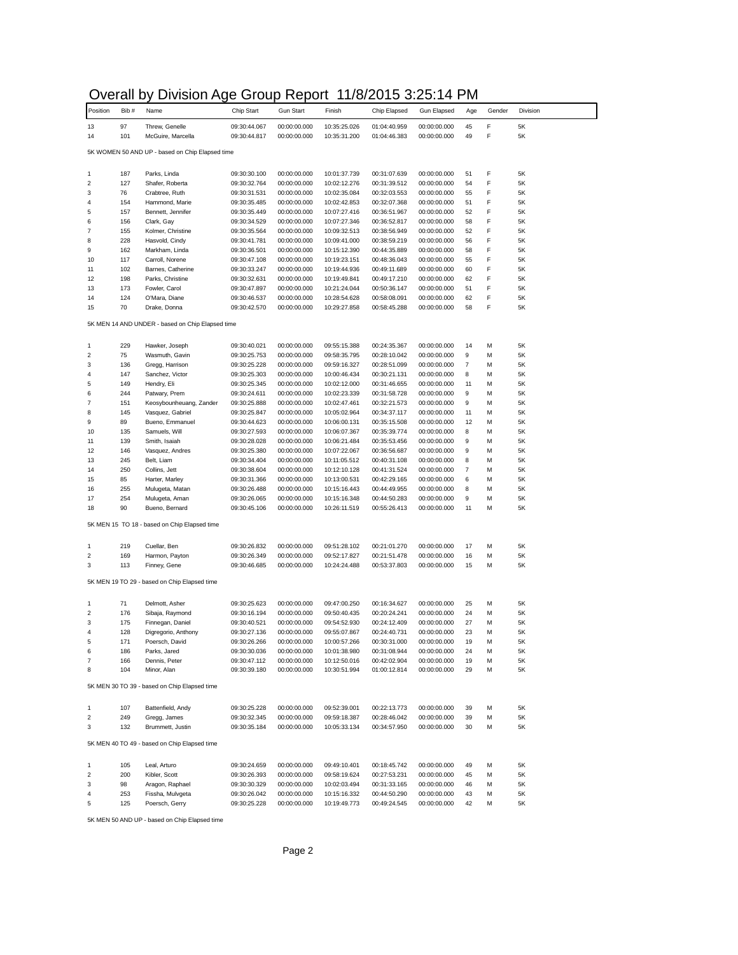## Overall by Division Age Group Report 11/8/2015 3:25:14 PM

| Position                                         | Bib#       | יי ייטוטויט<br>Name                             | ,,,,<br>Chip Start           | 1.0001<br><b>Gun Start</b>   | Finish                       | . . <i>.</i><br>Chip Elapsed | 0.20. I I<br>Gun Elapsed     | Age                      | Gender | Division |
|--------------------------------------------------|------------|-------------------------------------------------|------------------------------|------------------------------|------------------------------|------------------------------|------------------------------|--------------------------|--------|----------|
| 13                                               | 97         | Threw, Genelle                                  | 09:30:44.067                 | 00:00:00.000                 | 10:35:25.026                 | 01:04:40.959                 | 00:00:00.000                 | 45                       | F      | 5K       |
| 14                                               | 101        | McGuire, Marcella                               | 09:30:44.817                 | 00:00:00.000                 | 10:35:31.200                 | 01:04:46.383                 | 00:00:00.000                 | 49                       | F      | 5K       |
|                                                  |            | 5K WOMEN 50 AND UP - based on Chip Elapsed time |                              |                              |                              |                              |                              |                          |        |          |
|                                                  |            |                                                 |                              |                              |                              |                              |                              |                          |        |          |
| 1                                                | 187        | Parks, Linda                                    | 09:30:30.100                 | 00:00:00.000                 | 10:01:37.739                 | 00:31:07.639                 | 00:00:00.000                 | 51                       | F      | 5K       |
| $\overline{\mathbf{c}}$                          | 127        | Shafer, Roberta                                 | 09:30:32.764                 | 00:00:00.000                 | 10:02:12.276                 | 00:31:39.512                 | 00:00:00.000                 | 54                       | F<br>F | 5K<br>5K |
| 3<br>4                                           | 76<br>154  | Crabtree, Ruth<br>Hammond, Marie                | 09:30:31.531<br>09:30:35.485 | 00:00:00.000<br>00:00:00.000 | 10:02:35.084<br>10:02:42.853 | 00:32:03.553<br>00:32:07.368 | 00:00:00.000<br>00:00:00.000 | 55<br>51                 | F      | 5K       |
| 5                                                | 157        | Bennett, Jennifer                               | 09:30:35.449                 | 00:00:00.000                 | 10:07:27.416                 | 00:36:51.967                 | 00:00:00.000                 | 52                       | F      | 5K       |
| 6                                                | 156        | Clark, Gay                                      | 09:30:34.529                 | 00:00:00.000                 | 10:07:27.346                 | 00:36:52.817                 | 00:00:00.000                 | 58                       | F      | 5K       |
| 7                                                | 155        | Kolmer, Christine                               | 09:30:35.564                 | 00:00:00.000                 | 10:09:32.513                 | 00:38:56.949                 | 00:00:00.000                 | 52                       | F      | 5K       |
| 8                                                | 228        | Hasvold, Cindy                                  | 09:30:41.781                 | 00:00:00.000                 | 10:09:41.000                 | 00:38:59.219                 | 00:00:00.000                 | 56                       | F      | 5K       |
| 9                                                | 162        | Markham, Linda<br>Carroll, Norene               | 09:30:36.501                 | 00:00:00.000                 | 10:15:12.390                 | 00:44:35.889                 | 00:00:00.000                 | 58                       | F<br>F | 5K       |
| 10<br>11                                         | 117<br>102 | Barnes, Catherine                               | 09:30:47.108<br>09:30:33.247 | 00:00:00.000<br>00:00:00.000 | 10:19:23.151<br>10:19:44.936 | 00:48:36.043<br>00:49:11.689 | 00:00:00.000<br>00:00:00.000 | 55<br>60                 | F      | 5K<br>5K |
| 12                                               | 198        | Parks, Christine                                | 09:30:32.631                 | 00:00:00.000                 | 10:19:49.841                 | 00:49:17.210                 | 00:00:00.000                 | 62                       | F      | 5K       |
| 13                                               | 173        | Fowler, Carol                                   | 09:30:47.897                 | 00:00:00.000                 | 10:21:24.044                 | 00:50:36.147                 | 00:00:00.000                 | 51                       | F      | 5K       |
| 14                                               | 124        | O'Mara, Diane                                   | 09:30:46.537                 | 00:00:00.000                 | 10:28:54.628                 | 00:58:08.091                 | 00:00:00.000                 | 62                       | F      | 5K       |
| 15                                               | 70         | Drake, Donna                                    | 09:30:42.570                 | 00:00:00.000                 | 10:29:27.858                 | 00:58:45.288                 | 00:00:00.000                 | 58                       | F      | 5K       |
| 5K MEN 14 AND UNDER - based on Chip Elapsed time |            |                                                 |                              |                              |                              |                              |                              |                          |        |          |
| 1                                                | 229        |                                                 | 09:30:40.021                 | 00:00:00.000                 | 09:55:15.388                 | 00:24:35.367                 |                              | 14                       | M      | 5K       |
| $\overline{\mathbf{c}}$                          | 75         | Hawker, Joseph<br>Wasmuth, Gavin                | 09:30:25.753                 | 00:00:00.000                 | 09:58:35.795                 | 00:28:10.042                 | 00:00:00.000<br>00:00:00.000 | 9                        | M      | 5K       |
| 3                                                | 136        | Gregg, Harrison                                 | 09:30:25.228                 | 00:00:00.000                 | 09:59:16.327                 | 00:28:51.099                 | 00:00:00.000                 | 7                        | M      | 5K       |
| 4                                                | 147        | Sanchez, Victor                                 | 09:30:25.303                 | 00:00:00.000                 | 10:00:46.434                 | 00:30:21.131                 | 00:00:00.000                 | 8                        | M      | 5K       |
| 5                                                | 149        | Hendry, Eli                                     | 09:30:25.345                 | 00:00:00.000                 | 10:02:12.000                 | 00:31:46.655                 | 00:00:00.000                 | 11                       | M      | 5K       |
| 6                                                | 244        | Patwary, Prem                                   | 09:30:24.611                 | 00:00:00.000                 | 10:02:23.339                 | 00:31:58.728                 | 00:00:00.000                 | 9                        | M      | 5K       |
| $\overline{7}$                                   | 151        | Keosybounheuang, Zander                         | 09:30:25.888                 | 00:00:00.000                 | 10:02:47.461                 | 00:32:21.573<br>00:34:37.117 | 00:00:00.000                 | 9                        | M      | 5K<br>5K |
| 8<br>9                                           | 145<br>89  | Vasquez, Gabriel<br>Bueno, Emmanuel             | 09:30:25.847<br>09:30:44.623 | 00:00:00.000<br>00:00:00.000 | 10:05:02.964<br>10:06:00.131 | 00:35:15.508                 | 00:00:00.000<br>00:00:00.000 | 11<br>12                 | M<br>M | 5K       |
| 10                                               | 135        | Samuels, Will                                   | 09:30:27.593                 | 00:00:00.000                 | 10:06:07.367                 | 00:35:39.774                 | 00:00:00.000                 | 8                        | M      | 5K       |
| 11                                               | 139        | Smith, Isaiah                                   | 09:30:28.028                 | 00:00:00.000                 | 10:06:21.484                 | 00:35:53.456                 | 00:00:00.000                 | 9                        | M      | 5K       |
| 12                                               | 146        | Vasquez, Andres                                 | 09:30:25.380                 | 00:00:00.000                 | 10:07:22.067                 | 00:36:56.687                 | 00:00:00.000                 | 9                        | M      | 5K       |
| 13                                               | 245        | Belt, Liam                                      | 09:30:34.404                 | 00:00:00.000                 | 10:11:05.512                 | 00:40:31.108                 | 00:00:00.000                 | 8                        | M      | 5K       |
| 14                                               | 250        | Collins, Jett                                   | 09:30:38.604                 | 00:00:00.000                 | 10:12:10.128                 | 00:41:31.524                 | 00:00:00.000                 | $\overline{\mathcal{I}}$ | M      | 5K       |
| 15<br>16                                         | 85<br>255  | Harter, Marley<br>Mulugeta, Matan               | 09:30:31.366<br>09:30:26.488 | 00:00:00.000<br>00:00:00.000 | 10:13:00.531<br>10:15:16.443 | 00:42:29.165<br>00:44:49.955 | 00:00:00.000<br>00:00:00.000 | 6<br>8                   | M<br>M | 5K<br>5K |
| 17                                               | 254        | Mulugeta, Aman                                  | 09:30:26.065                 | 00:00:00.000                 | 10:15:16.348                 | 00:44:50.283                 | 00:00:00.000                 | 9                        | M      | 5K       |
| 18                                               | 90         | Bueno, Bernard                                  | 09:30:45.106                 | 00:00:00.000                 | 10:26:11.519                 | 00:55:26.413                 | 00:00:00.000                 | 11                       | M      | 5K       |
|                                                  |            | 5K MEN 15 TO 18 - based on Chip Elapsed time    |                              |                              |                              |                              |                              |                          |        |          |
|                                                  |            |                                                 |                              |                              |                              |                              |                              |                          |        |          |
| 1                                                | 219        | Cuellar, Ben                                    | 09:30:26.832                 | 00:00:00.000                 | 09:51:28.102                 | 00:21:01.270                 | 00:00:00.000                 | 17                       | M      | 5K       |
| $\sqrt{2}$<br>3                                  | 169<br>113 | Harmon, Payton                                  | 09:30:26.349<br>09:30:46.685 | 00:00:00.000<br>00:00:00.000 | 09:52:17.827<br>10:24:24.488 | 00:21:51.478<br>00:53:37.803 | 00:00:00.000<br>00:00:00.000 | 16<br>15                 | M<br>M | 5K<br>5K |
|                                                  |            | Finney, Gene                                    |                              |                              |                              |                              |                              |                          |        |          |
|                                                  |            | 5K MEN 19 TO 29 - based on Chip Elapsed time    |                              |                              |                              |                              |                              |                          |        |          |
| 1                                                | 71         | Delmott, Asher                                  | 09:30:25.623                 | 00:00:00.000                 | 09:47:00.250                 | 00:16:34.627                 | 00:00:00.000                 | 25                       | M      | 5K       |
| $\overline{2}$                                   | 176        | Sibaja, Raymond                                 | 09:30:16.194                 | 00:00:00.000                 | 09:50:40.435                 | 00:20:24.241                 | 00:00:00.000                 | 24                       | M      | 5K       |
| 3                                                | 175        | Finnegan, Daniel                                | 09:30:40.521                 | 00:00:00.000                 | 09:54:52.930                 | 00:24:12.409                 | 00:00:00.000                 | 27                       | M      | 5K       |
| 4                                                | 128        | Digregorio, Anthony                             | 09:30:27.136                 | 00:00:00.000                 | 09:55:07.867                 | 00:24:40.731                 | 00:00:00.000                 | 23                       | M      | 5K       |
| 5<br>6                                           | 171<br>186 | Poersch, David<br>Parks, Jared                  | 09:30:26.266<br>09:30:30.036 | 00:00:00.000<br>00:00:00.000 | 10:00:57.266<br>10:01:38.980 | 00:30:31.000<br>00:31:08.944 | 00:00:00.000<br>00:00:00.000 | 19<br>24                 | M      | 5Κ<br>5K |
| 7                                                | 166        | Dennis, Peter                                   | 09:30:47.112                 | 00:00:00.000                 | 10:12:50.016                 | 00:42:02.904                 | 00:00:00.000                 | 19                       | M      | 5K       |
| 8                                                | 104        | Minor, Alan                                     | 09:30:39.180                 | 00:00:00.000                 | 10:30:51.994                 | 01:00:12.814                 | 00:00:00.000                 | 29                       | M      | 5K       |
| 5K MEN 30 TO 39 - based on Chip Elapsed time     |            |                                                 |                              |                              |                              |                              |                              |                          |        |          |
|                                                  | 107        |                                                 |                              |                              |                              |                              |                              |                          |        | 5K       |
| 1<br>$\overline{\mathbf{c}}$                     | 249        | Battenfield, Andy<br>Gregg, James               | 09:30:25.228<br>09:30:32.345 | 00:00:00.000<br>00:00:00.000 | 09:52:39.001<br>09:59:18.387 | 00:22:13.773<br>00:28:46.042 | 00:00:00.000<br>00:00:00.000 | 39<br>39                 | M<br>M | 5K       |
| 3                                                | 132        | Brummett, Justin                                | 09:30:35.184                 | 00:00:00.000                 | 10:05:33.134                 | 00:34:57.950                 | 00:00:00.000                 | 30                       | М      | 5K       |
| 5K MEN 40 TO 49 - based on Chip Elapsed time     |            |                                                 |                              |                              |                              |                              |                              |                          |        |          |
|                                                  |            |                                                 |                              |                              |                              |                              |                              |                          |        |          |
| 1<br>$\overline{\mathbf{c}}$                     | 105<br>200 | Leal, Arturo                                    | 09:30:24.659<br>09:30:26.393 | 00:00:00.000                 | 09:49:10.401                 | 00:18:45.742                 | 00:00:00.000                 | 49                       | M      | 5K       |
| 3                                                | 98         | Kibler, Scott<br>Aragon, Raphael                | 09:30:30.329                 | 00:00:00.000<br>00:00:00.000 | 09:58:19.624<br>10:02:03.494 | 00:27:53.231<br>00:31:33.165 | 00:00:00.000<br>00:00:00.000 | 45<br>46                 | M<br>M | 5K<br>5K |
| 4                                                | 253        | Fissha, Mulvgeta                                | 09:30:26.042                 | 00:00:00.000                 | 10:15:16.332                 | 00:44:50.290                 | 00:00:00.000                 | 43                       | M      | 5K       |
| 5                                                | 125        | Poersch, Gerry                                  | 09:30:25.228                 | 00:00:00.000                 | 10:19:49.773                 | 00:49:24.545                 | 00:00:00.000                 | 42                       | М      | 5K       |

5K MEN 50 AND UP - based on Chip Elapsed time